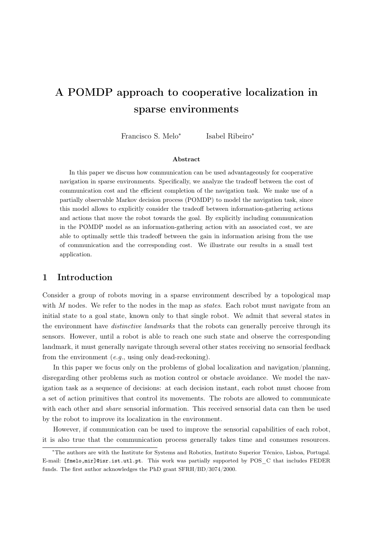# A POMDP approach to cooperative localization in sparse environments

Francisco S. Melo<sup>∗</sup> Isabel Ribeiro<sup>∗</sup>

#### Abstract

In this paper we discuss how communication can be used advantageously for cooperative navigation in sparse environments. Specifically, we analyze the tradeoff between the cost of communication cost and the efficient completion of the navigation task. We make use of a partially observable Markov decision process (POMDP) to model the navigation task, since this model allows to explicitly consider the tradeoff between information-gathering actions and actions that move the robot towards the goal. By explicitly including communication in the POMDP model as an information-gathering action with an associated cost, we are able to optimally settle this tradeoff between the gain in information arising from the use of communication and the corresponding cost. We illustrate our results in a small test application.

# 1 Introduction

Consider a group of robots moving in a sparse environment described by a topological map with  $M$  nodes. We refer to the nodes in the map as states. Each robot must navigate from an initial state to a goal state, known only to that single robot. We admit that several states in the environment have *distinctive landmarks* that the robots can generally perceive through its sensors. However, until a robot is able to reach one such state and observe the corresponding landmark, it must generally navigate through several other states receiving no sensorial feedback from the environment  $(e.g.,$  using only dead-reckoning).

In this paper we focus only on the problems of global localization and navigation/planning, disregarding other problems such as motion control or obstacle avoidance. We model the navigation task as a sequence of decisions: at each decision instant, each robot must choose from a set of action primitives that control its movements. The robots are allowed to communicate with each other and *share* sensorial information. This received sensorial data can then be used by the robot to improve its localization in the environment.

However, if communication can be used to improve the sensorial capabilities of each robot, it is also true that the communication process generally takes time and consumes resources.

<sup>∗</sup>The authors are with the Institute for Systems and Robotics, Instituto Superior Técnico, Lisboa, Portugal. E-mail: [fmelo,mir]@isr.ist.utl.pt. This work was partially supported by POS\_C that includes FEDER funds. The first author acknowledges the PhD grant SFRH/BD/3074/2000.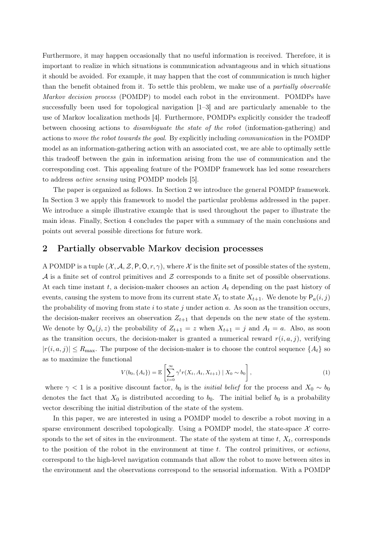Furthermore, it may happen occasionally that no useful information is received. Therefore, it is important to realize in which situations is communication advantageous and in which situations it should be avoided. For example, it may happen that the cost of communication is much higher than the benefit obtained from it. To settle this problem, we make use of a *partially observable* Markov decision process (POMDP) to model each robot in the environment. POMDPs have successfully been used for topological navigation [1–3] and are particularly amenable to the use of Markov localization methods [4]. Furthermore, POMDPs explicitly consider the tradeoff between choosing actions to disambiguate the state of the robot (information-gathering) and actions to move the robot towards the goal. By explicitly including communication in the POMDP model as an information-gathering action with an associated cost, we are able to optimally settle this tradeoff between the gain in information arising from the use of communication and the corresponding cost. This appealing feature of the POMDP framework has led some researchers to address active sensing using POMDP models [5].

The paper is organized as follows. In Section [2](#page-1-0) we introduce the general POMDP framework. In Section [3](#page-2-0) we apply this framework to model the particular problems addressed in the paper. We introduce a simple illustrative example that is used throughout the paper to illustrate the main ideas. Finally, Section [4](#page-5-0) concludes the paper with a summary of the main conclusions and points out several possible directions for future work.

### <span id="page-1-0"></span>2 Partially observable Markov decision processes

A POMDP is a tuple  $(\mathcal{X}, \mathcal{A}, \mathcal{Z}, P, O, r, \gamma)$ , where X is the finite set of possible states of the system,  $\mathcal A$  is a finite set of control primitives and  $\mathcal Z$  corresponds to a finite set of possible observations. At each time instant  $t$ , a decision-maker chooses an action  $A_t$  depending on the past history of events, causing the system to move from its current state  $X_t$  to state  $X_{t+1}$ . We denote by  $P_a(i, j)$ the probability of moving from state  $i$  to state  $j$  under action  $a$ . As soon as the transition occurs, the decision-maker receives an observation  $Z_{t+1}$  that depends on the new state of the system. We denote by  $\mathsf{O}_a(j,z)$  the probability of  $Z_{t+1} = z$  when  $X_{t+1} = j$  and  $A_t = a$ . Also, as soon as the transition occurs, the decision-maker is granted a numerical reward  $r(i, a, j)$ , verifying  $|r(i, a, j)| \le R_{\text{max}}$ . The purpose of the decision-maker is to choose the control sequence  $\{A_t\}$  so as to maximize the functional

$$
V(b_0, \{A_t\}) = \mathbb{E}\left[\sum_{t=0}^{\infty} \gamma^t r(X_t, A_t, X_{t+1}) \mid X_0 \sim b_0\right],
$$
 (1)

where  $\gamma$  < 1 is a positive discount factor,  $b_0$  is the *initial belief* for the process and  $X_0 \sim b_0$ denotes the fact that  $X_0$  is distributed according to  $b_0$ . The initial belief  $b_0$  is a probability vector describing the initial distribution of the state of the system.

In this paper, we are interested in using a POMDP model to describe a robot moving in a sparse environment described topologically. Using a POMDP model, the state-space  $\mathcal X$  corresponds to the set of sites in the environment. The state of the system at time  $t, X_t$ , corresponds to the position of the robot in the environment at time  $t$ . The control primitives, or *actions*, correspond to the high-level navigation commands that allow the robot to move between sites in the environment and the observations correspond to the sensorial information. With a POMDP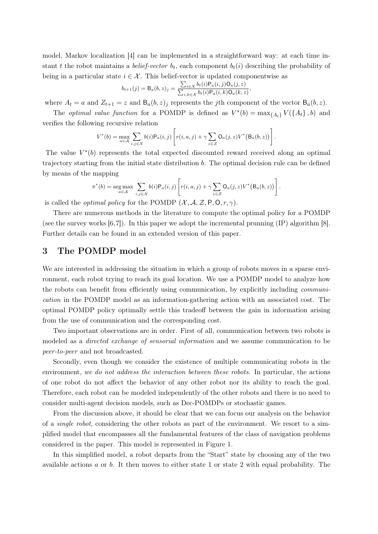model, Markov localization [4] can be implemented in a straightforward way: at each time instant t the robot maintains a *belief-vector*  $b_t$ , each component  $b_t(i)$  describing the probability of being in a particular state  $i \in \mathcal{X}$ . This belief-vector is updated componentwise as

$$
b_{t+1}(j) = B_a(b, z)_j = \frac{\sum_{i \in \mathcal{X}} b_t(i) P_a(i, j) O_a(j, z)}{\sum_{i, k \in \mathcal{X}} b_t(i) P_a(i, k) O_a(k, z)},
$$

where  $A_t = a$  and  $Z_{t+1} = z$  and  $B_a(b, z)_j$  represents the jth component of the vector  $B_a(b, z)$ .

The *optimal value function* for a POMDP is defined as  $V^*(b) = \max_{\{A_t\}} V(\{A_t\}, b)$  and verifies the following recursive relation

$$
V^*(b) = \max_{a \in \mathcal{A}} \sum_{i,j \in \mathcal{X}} b(i) \mathsf{P}_a(i,j) \left[ r(i,a,j) + \gamma \sum_{z \in \mathcal{Z}} \mathsf{O}_a(j,z) V^*(\mathsf{B}_a(b,z)) \right].
$$

The value  $V^*(b)$  represents the total expected discounted reward received along an optimal trajectory starting from the initial state distribution b. The optimal decision rule can be defined by means of the mapping

$$
\pi^*(b) = \underset{a \in \mathcal{A}}{\arg \max} \sum_{i,j \in \mathcal{X}} b(i) P_a(i,j) \left[ r(i,a,j) + \gamma \sum_{z \in \mathcal{Z}} O_a(j,z) V^*(B_a(b,z)) \right].
$$

is called the *optimal policy* for the POMDP  $(\mathcal{X}, \mathcal{A}, \mathcal{Z}, P, O, r, \gamma)$ .

There are numerous methods in the literature to compute the optimal policy for a POMDP (see the survey works [6,7]). In this paper we adopt the incremental prunning (IP) algorithm [8]. Further details can be found in an extended version of this paper.

#### <span id="page-2-0"></span>3 The POMDP model

We are interested in addressing the situation in which a group of robots moves in a sparse environment, each robot trying to reach its goal location. We use a POMDP model to analyze how the robots can benefit from efficiently using communication, by explicitly including communication in the POMDP model as an information-gathering action with an associated cost. The optimal POMDP policy optimally settle this tradeoff between the gain in information arising from the use of communication and the corresponding cost.

Two important observations are in order. First of all, communication between two robots is modeled as a *directed exchange of sensorial information* and we assume communication to be peer-to-peer and not broadcasted.

Secondly, even though we consider the existence of multiple communicating robots in the environment, we do not address the interaction between these robots. In particular, the actions of one robot do not affect the behavior of any other robot nor its ability to reach the goal. Therefore, each robot can be modeled independently of the other robots and there is no need to consider multi-agent decision models, such as Dec-POMDPs or stochastic games.

From the discussion above, it should be clear that we can focus our analysis on the behavior of a single robot, considering the other robots as part of the environment. We resort to a simplified model that encompasses all the fundamental features of the class of navigation problems considered in the paper. This model is represented in Figure [1.](#page-3-0)

In this simplified model, a robot departs from the "Start" state by choosing any of the two available actions  $a$  or  $b$ . It then moves to either state 1 or state 2 with equal probability. The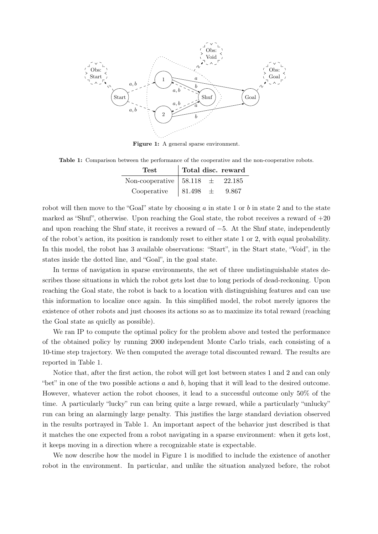

<span id="page-3-0"></span>Figure 1: A general sparse environment.

<span id="page-3-1"></span>Table 1: Comparison between the performance of the cooperative and the non-cooperative robots.

| Test                                                             |              | Total disc. reward |
|------------------------------------------------------------------|--------------|--------------------|
| Non-cooperative $\begin{array}{r} 58.118 \pm 22.185 \end{array}$ |              |                    |
| Cooperative                                                      | $81.498 \pm$ | 9.867              |

robot will then move to the "Goal" state by choosing  $a$  in state 1 or b in state 2 and to the state marked as "Shuf", otherwise. Upon reaching the Goal state, the robot receives a reward of  $+20$ and upon reaching the Shuf state, it receives a reward of −5. At the Shuf state, independently of the robot's action, its position is randomly reset to either state 1 or 2, with equal probability. In this model, the robot has 3 available observations: "Start", in the Start state, "Void", in the states inside the dotted line, and "Goal", in the goal state.

In terms of navigation in sparse environments, the set of three undistinguishable states describes those situations in which the robot gets lost due to long periods of dead-reckoning. Upon reaching the Goal state, the robot is back to a location with distinguishing features and can use this information to localize once again. In this simplified model, the robot merely ignores the existence of other robots and just chooses its actions so as to maximize its total reward (reaching the Goal state as quiclly as possible).

We ran IP to compute the optimal policy for the problem above and tested the performance of the obtained policy by running 2000 independent Monte Carlo trials, each consisting of a 10-time step trajectory. We then computed the average total discounted reward. The results are reported in Table [1.](#page-3-1)

Notice that, after the first action, the robot will get lost between states 1 and 2 and can only "bet" in one of the two possible actions  $a$  and  $b$ , hoping that it will lead to the desired outcome. However, whatever action the robot chooses, it lead to a successful outcome only 50% of the time. A particularly "lucky" run can bring quite a large reward, while a particularly "unlucky" run can bring an alarmingly large penalty. This justifies the large standard deviation observed in the results portrayed in Table [1.](#page-3-1) An important aspect of the behavior just described is that it matches the one expected from a robot navigating in a sparse environment: when it gets lost, it keeps moving in a direction where a recognizable state is expectable.

We now describe how the model in Figure [1](#page-3-0) is modified to include the existence of another robot in the environment. In particular, and unlike the situation analyzed before, the robot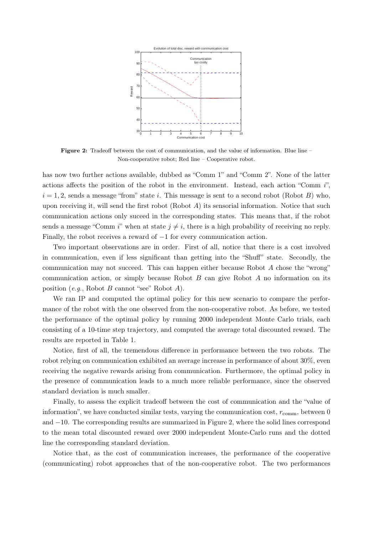

<span id="page-4-0"></span>Figure 2: Tradeoff between the cost of communication, and the value of information. Blue line – Non-cooperative robot; Red line – Cooperative robot.

has now two further actions available, dubbed as "Comm 1" and "Comm 2". None of the latter actions affects the position of the robot in the environment. Instead, each action "Comm i",  $i = 1, 2$ , sends a message "from" state i. This message is sent to a second robot (Robot B) who, upon receiving it, will send the first robot (Robot  $A$ ) its sensorial information. Notice that such communication actions only suceed in the corresponding states. This means that, if the robot sends a message "Comm i" when at state  $j \neq i$ , there is a high probability of receiving no reply. Finally, the robot receives a reward of −1 for every communication action.

Two important observations are in order. First of all, notice that there is a cost involved in communication, even if less significant than getting into the "Shuff" state. Secondly, the communication may not succeed. This can happen either because Robot A chose the "wrong" communication action, or simply because Robot  $B$  can give Robot  $A$  no information on its position  $(e.q., \text{ Robot } B \text{ cannot "see" Robot } A).$ 

We ran IP and computed the optimal policy for this new scenario to compare the performance of the robot with the one observed from the non-cooperative robot. As before, we tested the performance of the optimal policy by running 2000 independent Monte Carlo trials, each consisting of a 10-time step trajectory, and computed the average total discounted reward. The results are reported in Table [1.](#page-3-1)

Notice, first of all, the tremendous difference in performance between the two robots. The robot relying on communication exhibited an average increase in performance of about 30%, even receiving the negative rewards arising from communication. Furthermore, the optimal policy in the presence of communication leads to a much more reliable performance, since the observed standard deviation is much smaller.

Finally, to assess the explicit tradeoff between the cost of communication and the "value of information", we have conducted similar tests, varying the communication cost,  $r_{\text{comm}}$ , between 0 and −10. The corresponding results are summarized in Figure [2,](#page-4-0) where the solid lines correspond to the mean total discounted reward over 2000 independent Monte-Carlo runs and the dotted line the corresponding standard deviation.

Notice that, as the cost of communication increases, the performance of the cooperative (communicating) robot approaches that of the non-cooperative robot. The two performances